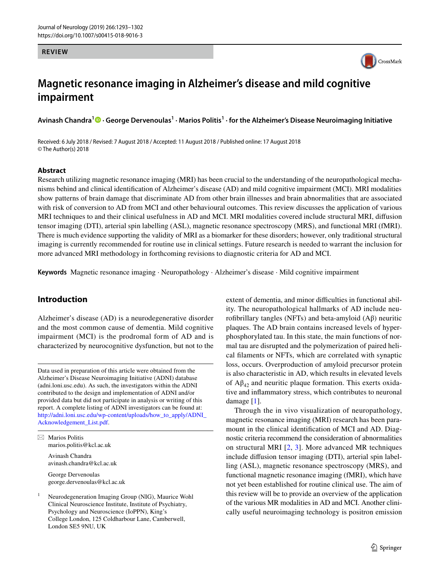#### **REVIEW**



# **Magnetic resonance imaging in Alzheimer's disease and mild cognitive impairment**

**Avinash Chandra<sup>1</sup>  [·](http://orcid.org/0000-0002-3415-0942) George Dervenoulas1 · Marios Politis1 · for the Alzheimer's Disease Neuroimaging Initiative**

Received: 6 July 2018 / Revised: 7 August 2018 / Accepted: 11 August 2018 / Published online: 17 August 2018 © The Author(s) 2018

#### **Abstract**

Research utilizing magnetic resonance imaging (MRI) has been crucial to the understanding of the neuropathological mechanisms behind and clinical identification of Alzheimer's disease (AD) and mild cognitive impairment (MCI). MRI modalities show patterns of brain damage that discriminate AD from other brain illnesses and brain abnormalities that are associated with risk of conversion to AD from MCI and other behavioural outcomes. This review discusses the application of various MRI techniques to and their clinical usefulness in AD and MCI. MRI modalities covered include structural MRI, diffusion tensor imaging (DTI), arterial spin labelling (ASL), magnetic resonance spectroscopy (MRS), and functional MRI (fMRI). There is much evidence supporting the validity of MRI as a biomarker for these disorders; however, only traditional structural imaging is currently recommended for routine use in clinical settings. Future research is needed to warrant the inclusion for more advanced MRI methodology in forthcoming revisions to diagnostic criteria for AD and MCI.

**Keywords** Magnetic resonance imaging · Neuropathology · Alzheimer's disease · Mild cognitive impairment

## **Introduction**

Alzheimer's disease (AD) is a neurodegenerative disorder and the most common cause of dementia. Mild cognitive impairment (MCI) is the prodromal form of AD and is characterized by neurocognitive dysfunction, but not to the

Data used in preparation of this article were obtained from the Alzheimer's Disease Neuroimaging Initiative (ADNI) database (adni.loni.usc.edu). As such, the investigators within the ADNI contributed to the design and implementation of ADNI and/or provided data but did not participate in analysis or writing of this report. A complete listing of ADNI investigators can be found at: [http://adni.loni.usc.edu/wp-content/uploads/how\\_to\\_apply/ADNI\\_](http://adni.loni.usc.edu/wp-content/uploads/how_to_apply/ADNI_Acknowledgement_List.pdf) [Acknowledgement\\_List.pdf](http://adni.loni.usc.edu/wp-content/uploads/how_to_apply/ADNI_Acknowledgement_List.pdf).

 $\boxtimes$  Marios Politis marios.politis@kcl.ac.uk

> Avinash Chandra avinash.chandra@kcl.ac.uk

George Dervenoulas george.dervenoulas@kcl.ac.uk

<sup>1</sup> Neurodegeneration Imaging Group (NIG), Maurice Wohl Clinical Neuroscience Institute, Institute of Psychiatry, Psychology and Neuroscience (IoPPN), King's College London, 125 Coldharbour Lane, Camberwell, London SE5 9NU, UK

extent of dementia, and minor difficulties in functional ability. The neuropathological hallmarks of AD include neurofibrillary tangles (NFTs) and beta-amyloid (Aβ) neuritic plaques. The AD brain contains increased levels of hyperphosphorylated tau. In this state, the main functions of normal tau are disrupted and the polymerization of paired helical filaments or NFTs, which are correlated with synaptic loss, occurs. Overproduction of amyloid precursor protein is also characteristic in AD, which results in elevated levels of  $A\beta_{4}$  and neuritic plaque formation. This exerts oxidative and inflammatory stress, which contributes to neuronal damage [\[1](#page-7-0)].

Through the in vivo visualization of neuropathology, magnetic resonance imaging (MRI) research has been paramount in the clinical identification of MCI and AD. Diagnostic criteria recommend the consideration of abnormalities on structural MRI [\[2,](#page-7-1) [3](#page-7-2)]. More advanced MR techniques include diffusion tensor imaging (DTI), arterial spin labelling (ASL), magnetic resonance spectroscopy (MRS), and functional magnetic resonance imaging (fMRI), which have not yet been established for routine clinical use. The aim of this review will be to provide an overview of the application of the various MR modalities in AD and MCI. Another clinically useful neuroimaging technology is positron emission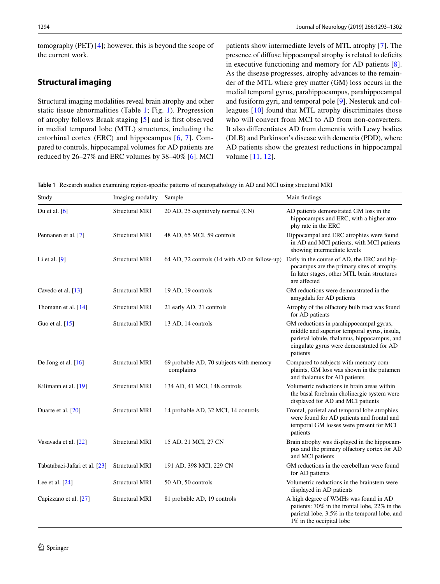tomography (PET) [[4\]](#page-7-3); however, this is beyond the scope of the current work.

# **Structural imaging**

Structural imaging modalities reveal brain atrophy and other static tissue abnormalities (Table [1](#page-1-0); Fig. [1\)](#page-2-0). Progression of atrophy follows Braak staging [[5\]](#page-7-4) and is first observed in medial temporal lobe (MTL) structures, including the entorhinal cortex (ERC) and hippocampus [\[6](#page-7-5), [7\]](#page-7-6). Compared to controls, hippocampal volumes for AD patients are reduced by 26–27% and ERC volumes by 38–40% [\[6](#page-7-5)]. MCI patients show intermediate levels of MTL atrophy [[7](#page-7-6)]. The presence of diffuse hippocampal atrophy is related to deficits in executive functioning and memory for AD patients [\[8](#page-7-7)]. As the disease progresses, atrophy advances to the remainder of the MTL where grey matter (GM) loss occurs in the medial temporal gyrus, parahippocampus, parahippocampal and fusiform gyri, and temporal pole [[9\]](#page-7-8). Nesteruk and colleagues [[10\]](#page-7-9) found that MTL atrophy discriminates those who will convert from MCI to AD from non-converters. It also differentiates AD from dementia with Lewy bodies (DLB) and Parkinson's disease with dementia (PDD), where AD patients show the greatest reductions in hippocampal volume [[11](#page-7-10), [12](#page-7-11)].

<span id="page-1-0"></span>**Table 1** Research studies examining region-specific patterns of neuropathology in AD and MCI using structural MRI

| Study                         | Imaging modality      | Sample                                                                                   | Main findings                                                                                                                                                                                 |
|-------------------------------|-----------------------|------------------------------------------------------------------------------------------|-----------------------------------------------------------------------------------------------------------------------------------------------------------------------------------------------|
| Du et al. $[6]$               | Structural MRI        | 20 AD, 25 cognitively normal (CN)                                                        | AD patients demonstrated GM loss in the<br>hippocampus and ERC, with a higher atro-<br>phy rate in the ERC                                                                                    |
| Pennanen et al. [7]           | Structural MRI        | 48 AD, 65 MCI, 59 controls                                                               | Hippocampal and ERC atrophies were found<br>in AD and MCI patients, with MCI patients<br>showing intermediate levels                                                                          |
| Li et al. $[9]$               | Structural MRI        | 64 AD, 72 controls (14 with AD on follow-up) Early in the course of AD, the ERC and hip- | pocampus are the primary sites of atrophy.<br>In later stages, other MTL brain structures<br>are affected                                                                                     |
| Cavedo et al. [13]            | Structural MRI        | 19 AD, 19 controls                                                                       | GM reductions were demonstrated in the<br>amygdala for AD patients                                                                                                                            |
| Thomann et al. [14]           | Structural MRI        | 21 early AD, 21 controls                                                                 | Atrophy of the olfactory bulb tract was found<br>for AD patients                                                                                                                              |
| Guo et al. $[15]$             | Structural MRI        | 13 AD, 14 controls                                                                       | GM reductions in parahippocampal gyrus,<br>middle and superior temporal gyrus, insula,<br>parietal lobule, thalamus, hippocampus, and<br>cingulate gyrus were demonstrated for AD<br>patients |
| De Jong et al. $[16]$         | <b>Structural MRI</b> | 69 probable AD, 70 subjects with memory<br>complaints                                    | Compared to subjects with memory com-<br>plaints, GM loss was shown in the putamen<br>and thalamus for AD patients                                                                            |
| Kilimann et al. [19]          | Structural MRI        | 134 AD, 41 MCI, 148 controls                                                             | Volumetric reductions in brain areas within<br>the basal forebrain cholinergic system were<br>displayed for AD and MCI patients                                                               |
| Duarte et al. [20]            | Structural MRI        | 14 probable AD, 32 MCI, 14 controls                                                      | Frontal, parietal and temporal lobe atrophies<br>were found for AD patients and frontal and<br>temporal GM losses were present for MCI<br>patients                                            |
| Vasavada et al. [22]          | Structural MRI        | 15 AD, 21 MCI, 27 CN                                                                     | Brain atrophy was displayed in the hippocam-<br>pus and the primary olfactory cortex for AD<br>and MCI patients                                                                               |
| Tabatabaei-Jafari et al. [23] | Structural MRI        | 191 AD, 398 MCI, 229 CN                                                                  | GM reductions in the cerebellum were found<br>for AD patients                                                                                                                                 |
| Lee et al. $[24]$             | Structural MRI        | 50 AD, 50 controls                                                                       | Volumetric reductions in the brainstem were<br>displayed in AD patients                                                                                                                       |
| Capizzano et al. [27]         | Structural MRI        | 81 probable AD, 19 controls                                                              | A high degree of WMHs was found in AD<br>patients: 70% in the frontal lobe, 22% in the<br>parietal lobe, 3.5% in the temporal lobe, and<br>1% in the occipital lobe                           |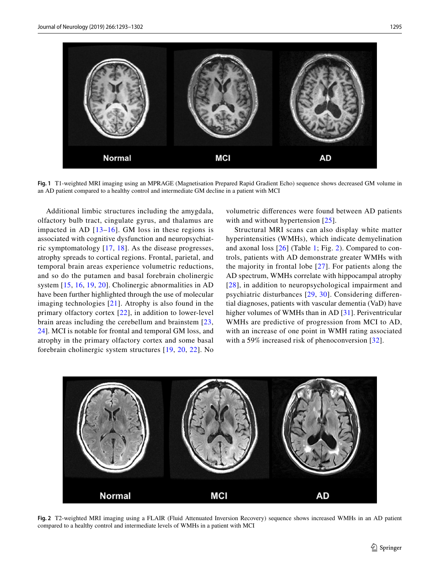

**Fig. 1** T1-weighted MRI imaging using an MPRAGE (Magnetisation Prepared Rapid Gradient Echo) sequence shows decreased GM volume in an AD patient compared to a healthy control and intermediate GM decline in a patient with MCI

<span id="page-2-0"></span>Additional limbic structures including the amygdala, olfactory bulb tract, cingulate gyrus, and thalamus are impacted in AD [[13](#page-7-12)[–16](#page-7-15)]. GM loss in these regions is associated with cognitive dysfunction and neuropsychiatric symptomatology [\[17,](#page-7-22) [18\]](#page-7-23). As the disease progresses, atrophy spreads to cortical regions. Frontal, parietal, and temporal brain areas experience volumetric reductions, and so do the putamen and basal forebrain cholinergic system [[15](#page-7-14), [16,](#page-7-15) [19,](#page-7-16) [20](#page-7-17)]. Cholinergic abnormalities in AD have been further highlighted through the use of molecular imaging technologies [[21\]](#page-7-24). Atrophy is also found in the primary olfactory cortex [[22\]](#page-7-18), in addition to lower-level brain areas including the cerebellum and brainstem [[23,](#page-7-19) [24](#page-7-20)]. MCI is notable for frontal and temporal GM loss, and atrophy in the primary olfactory cortex and some basal forebrain cholinergic system structures [[19,](#page-7-16) [20,](#page-7-17) [22](#page-7-18)]. No volumetric differences were found between AD patients with and without hypertension [\[25\]](#page-7-25).

Structural MRI scans can also display white matter hyperintensities (WMHs), which indicate demyelination and axonal loss [\[26\]](#page-7-26) (Table [1](#page-1-0); Fig. [2\)](#page-2-1). Compared to controls, patients with AD demonstrate greater WMHs with the majority in frontal lobe [[27\]](#page-7-21). For patients along the AD spectrum, WMHs correlate with hippocampal atrophy [[28](#page-7-27)], in addition to neuropsychological impairment and psychiatric disturbances [[29,](#page-7-28) [30](#page-7-29)]. Considering differential diagnoses, patients with vascular dementia (VaD) have higher volumes of WMHs than in AD [[31](#page-7-30)]. Periventricular WMHs are predictive of progression from MCI to AD, with an increase of one point in WMH rating associated with a 59% increased risk of phenoconversion [[32](#page-7-31)].

<span id="page-2-1"></span>

**Fig. 2** T2-weighted MRI imaging using a FLAIR (Fluid Attenuated Inversion Recovery) sequence shows increased WMHs in an AD patient compared to a healthy control and intermediate levels of WMHs in a patient with MCI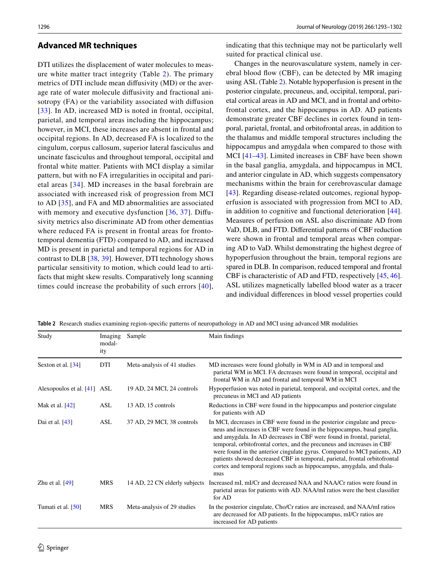#### **Advanced MR techniques**

DTI utilizes the displacement of water molecules to measure white matter tract integrity (Table [2](#page-3-0)). The primary metrics of DTI include mean diffusivity (MD) or the average rate of water molecule diffusivity and fractional anisotropy (FA) or the variability associated with diffusion [[33](#page-8-0)]. In AD, increased MD is noted in frontal, occipital, parietal, and temporal areas including the hippocampus; however, in MCI, these increases are absent in frontal and occipital regions. In AD, decreased FA is localized to the cingulum, corpus callosum, superior lateral fasciculus and uncinate fasciculus and throughout temporal, occipital and frontal white matter. Patients with MCI display a similar pattern, but with no FA irregularities in occipital and parietal areas [[34](#page-8-1)]. MD increases in the basal forebrain are associated with increased risk of progression from MCI to AD [[35](#page-8-2)], and FA and MD abnormalities are associated with memory and executive dysfunction  $[36, 37]$  $[36, 37]$  $[36, 37]$  $[36, 37]$ . Diffusivity metrics also discriminate AD from other dementias where reduced FA is present in frontal areas for frontotemporal dementia (FTD) compared to AD, and increased MD is present in parietal and temporal regions for AD in contrast to DLB [\[38](#page-8-5), [39\]](#page-8-6). However, DTI technology shows particular sensitivity to motion, which could lead to artifacts that might skew results. Comparatively long scanning times could increase the probability of such errors [[40\]](#page-8-7),

indicating that this technique may not be particularly well suited for practical clinical use.

Changes in the neurovasculature system, namely in cerebral blood flow (CBF), can be detected by MR imaging using ASL (Table [2\)](#page-3-0). Notable hypoperfusion is present in the posterior cingulate, precuneus, and, occipital, temporal, parietal cortical areas in AD and MCI, and in frontal and orbitofrontal cortex, and the hippocampus in AD. AD patients demonstrate greater CBF declines in cortex found in temporal, parietal, frontal, and orbitofrontal areas, in addition to the thalamus and middle temporal structures including the hippocampus and amygdala when compared to those with MCI [[41–](#page-8-8)[43](#page-8-9)]. Limited increases in CBF have been shown in the basal ganglia, amygdala, and hippocampus in MCI, and anterior cingulate in AD, which suggests compensatory mechanisms within the brain for cerebrovascular damage [[43\]](#page-8-9). Regarding disease-related outcomes, regional hypoperfusion is associated with progression from MCI to AD, in addition to cognitive and functional deterioration [[44](#page-8-10)]. Measures of perfusion on ASL also discriminate AD from VaD, DLB, and FTD. Differential patterns of CBF reduction were shown in frontal and temporal areas when comparing AD to VaD. Whilst demonstrating the highest degree of hypoperfusion throughout the brain, temporal regions are spared in DLB. In comparison, reduced temporal and frontal CBF is characteristic of AD and FTD, respectively [[45,](#page-8-11) [46](#page-8-12)]. ASL utilizes magnetically labelled blood water as a tracer and individual differences in blood vessel properties could

| Study                       | Imaging<br>modal-<br>ity | Sample                        | Main findings                                                                                                                                                                                                                                                                                                                                                                                                                                                                                                                                     |
|-----------------------------|--------------------------|-------------------------------|---------------------------------------------------------------------------------------------------------------------------------------------------------------------------------------------------------------------------------------------------------------------------------------------------------------------------------------------------------------------------------------------------------------------------------------------------------------------------------------------------------------------------------------------------|
| Sexton et al. $[34]$        | DTI                      | Meta-analysis of 41 studies   | MD increases were found globally in WM in AD and in temporal and<br>parietal WM in MCI. FA decreases were found in temporal, occipital and<br>frontal WM in AD and frontal and temporal WM in MCI                                                                                                                                                                                                                                                                                                                                                 |
| Alexopoulos et al. [41] ASL |                          | 19 AD, 24 MCI, 24 controls    | Hypoperfusion was noted in parietal, temporal, and occipital cortex, and the<br>precuneus in MCI and AD patients                                                                                                                                                                                                                                                                                                                                                                                                                                  |
| Mak et al. $[42]$           | ASL                      | 13 AD, 15 controls            | Reductions in CBF were found in the hippocampus and posterior cingulate<br>for patients with AD                                                                                                                                                                                                                                                                                                                                                                                                                                                   |
| Dai et al. $[43]$           | ASL                      | 37 AD, 29 MCI, 38 controls    | In MCI, decreases in CBF were found in the posterior cingulate and precu-<br>neus and increases in CBF were found in the hippocampus, basal ganglia,<br>and amygdala. In AD decreases in CBF were found in frontal, parietal,<br>temporal, orbitofrontal cortex, and the precuneus and increases in CBF<br>were found in the anterior cingulate gyrus. Compared to MCI patients, AD<br>patients showed decreased CBF in temporal, parietal, frontal orbitofrontal<br>cortex and temporal regions such as hippocampus, amygdala, and thala-<br>mus |
| Zhu et al. $[49]$           | <b>MRS</b>               | 14 AD, 22 CN elderly subjects | Increased mI, mI/Cr and decreased NAA and NAA/Cr ratios were found in<br>parietal areas for patients with AD. NAA/mI ratios were the best classifier<br>for AD                                                                                                                                                                                                                                                                                                                                                                                    |
| Tumati et al. [50]          | <b>MRS</b>               | Meta-analysis of 29 studies   | In the posterior cingulate, Cho/Cr ratios are increased, and NAA/mI ratios<br>are decreased for AD patients. In the hippocampus, mI/Cr ratios are<br>increased for AD patients                                                                                                                                                                                                                                                                                                                                                                    |

<span id="page-3-0"></span>**Table 2** Research studies examining region-specific patterns of neuropathology in AD and MCI using advanced MR modalities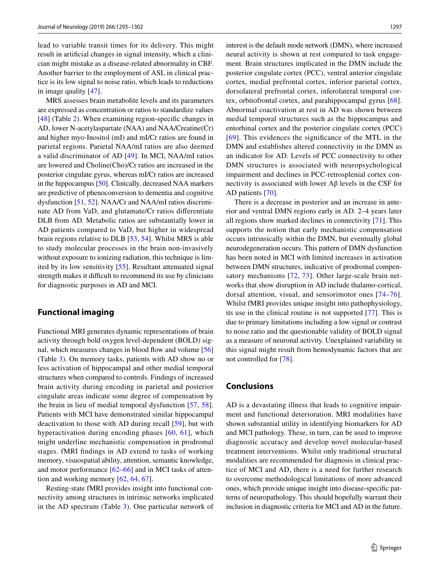lead to variable transit times for its delivery. This might result in artificial changes in signal intensity, which a clinician might mistake as a disease-related abnormality in CBF. Another barrier to the employment of ASL in clinical practice is its low signal to noise ratio, which leads to reductions in image quality [\[47](#page-8-16)].

MRS assesses brain metabolite levels and its parameters are expressed as concentration or ratios to standardize values [\[48\]](#page-8-17) (Table [2\)](#page-3-0). When examining region-specific changes in AD, lower N-acetylaspartate (NAA) and NAA/Creatine(Cr) and higher myo-Inositol (mI) and mI/Cr ratios are found in parietal regions. Parietal NAA/mI ratios are also deemed a valid discriminator of AD [[49](#page-8-14)]. In MCI, NAA/mI ratios are lowered and Choline(Cho)/Cr ratios are increased in the posterior cingulate gyrus, whereas mI/Cr ratios are increased in the hippocampus [\[50\]](#page-8-15). Clinically, decreased NAA markers are predictive of phenoconversion to dementia and cognitive dysfunction [[51,](#page-8-18) [52\]](#page-8-19). NAA/Cr and NAA/mI ratios discriminate AD from VaD, and glutamate/Cr ratios differentiate DLB from AD. Metabolic ratios are substantially lower in AD patients compared to VaD, but higher in widespread brain regions relative to DLB [[53,](#page-8-20) [54](#page-8-21)]. Whilst MRS is able to study molecular processes in the brain non-invasively without exposure to ionizing radiation, this technique is limited by its low sensitivity [\[55](#page-8-22)]. Resultant attenuated signal strength makes it difficult to recommend its use by clinicians for diagnostic purposes in AD and MCI.

## **Functional imaging**

Functional MRI generates dynamic representations of brain activity through bold oxygen level-dependent (BOLD) signal, which measures changes in blood flow and volume [[56\]](#page-8-23) (Table [3\)](#page-5-0). On memory tasks, patients with AD show no or less activation of hippocampal and other medial temporal structures when compared to controls. Findings of increased brain activity during encoding in parietal and posterior cingulate areas indicate some degree of compensation by the brain in lieu of medial temporal dysfunction [[57](#page-8-24), [58](#page-8-25)]. Patients with MCI have demonstrated similar hippocampal deactivation to those with AD during recall [[59](#page-8-26)], but with hyperactivation during encoding phases [\[60,](#page-8-27) [61](#page-8-28)], which might underline mechanistic compensation in prodromal stages. fMRI findings in AD extend to tasks of working memory, visuospatial ability, attention, semantic knowledge, and motor performance [[62–](#page-8-29)[66](#page-9-0)] and in MCI tasks of attention and working memory [[62,](#page-8-29) [64,](#page-9-1) [67\]](#page-9-2).

Resting-state fMRI provides insight into functional connectivity among structures in intrinsic networks implicated in the AD spectrum (Table [3\)](#page-5-0). One particular network of interest is the default mode network (DMN), where increased neural activity is shown at rest compared to task engagement. Brain structures implicated in the DMN include the posterior cingulate cortex (PCC), ventral anterior cingulate cortex, medial prefrontal cortex, inferior parietal cortex, dorsolateral prefrontal cortex, inferolateral temporal cortex, orbitofrontal cortex, and parahippocampal gyrus [\[68](#page-9-3)]. Abnormal coactivation at rest in AD was shown between medial temporal structures such as the hippocampus and entorhinal cortex and the posterior cingulate cortex (PCC) [[69](#page-9-4)]. This evidences the significance of the MTL in the DMN and establishes altered connectivity in the DMN as an indicator for AD. Levels of PCC connectivity to other DMN structures is associated with neuropsychological impairment and declines in PCC-retrosplenial cortex connectivity is associated with lower Aβ levels in the CSF for AD patients [\[70\]](#page-9-5).

There is a decrease in posterior and an increase in anterior and ventral DMN regions early in AD. 2–4 years later all regions show marked declines in connectivity [[71](#page-9-6)]. This supports the notion that early mechanistic compensation occurs intrinsically within the DMN, but eventually global neurodegeneration occurs. This pattern of DMN dysfunction has been noted in MCI with limited increases in activation between DMN structures, indicative of prodromal compensatory mechanisms [[72](#page-9-7), [73](#page-9-8)]. Other large-scale brain networks that show disruption in AD include thalamo-cortical, dorsal attention, visual, and sensorimotor ones [[74–](#page-9-9)[76](#page-9-10)]. Whilst fMRI provides unique insight into pathophysiology, its use in the clinical routine is not supported [[77\]](#page-9-11). This is due to primary limitations including a low signal or contrast to noise ratio and the questionable validity of BOLD signal as a measure of neuronal activity. Unexplained variability in this signal might result from hemodynamic factors that are not controlled for [\[78](#page-9-12)].

## **Conclusions**

AD is a devastating illness that leads to cognitive impairment and functional deterioration. MRI modalities have shown substantial utility in identifying biomarkers for AD and MCI pathology. These, in turn, can be used to improve diagnostic accuracy and develop novel molecular-based treatment interventions. Whilst only traditional structural modalities are recommended for diagnosis in clinical practice of MCI and AD, there is a need for further research to overcome methodological limitations of more advanced ones, which provide unique insight into disease-specific patterns of neuropathology. This should hopefully warrant their inclusion in diagnostic criteria for MCI and AD in the future.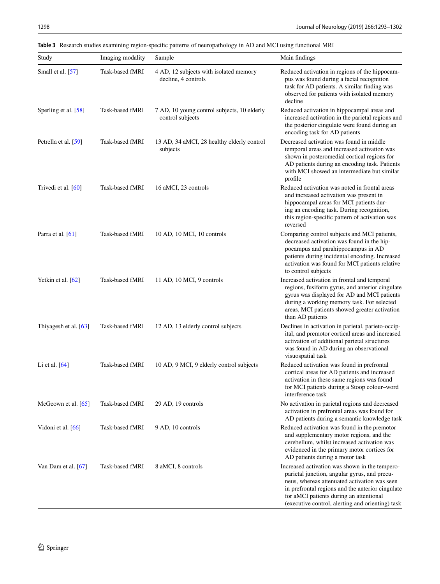Study Imaging modality Sample Study Main findings Small et al. [\[57\]](#page-8-24) Task-based fMRI 4 AD, 12 subjects with isolated memory decline, 4 controls Reduced activation in regions of the hippocampus was found during a facial recognition task for AD patients. A similar finding was observed for patients with isolated memory decline Sperling et al. [\[58\]](#page-8-25) Task-based fMRI 7 AD, 10 young control subjects, 10 elderly control subjects Reduced activation in hippocampal areas and increased activation in the parietal regions and the posterior cingulate were found during an encoding task for AD patients Petrella et al. [\[59\]](#page-8-26) Task-based fMRI 13 AD, 34 aMCI, 28 healthy elderly control subjects Decreased activation was found in middle temporal areas and increased activation was shown in posteromedial cortical regions for AD patients during an encoding task. Patients with MCI showed an intermediate but similar profile Trivedi et al. [\[60\]](#page-8-27) Task-based fMRI 16 aMCI, 23 controls Reduced activation was noted in frontal areas and increased activation was present in hippocampal areas for MCI patients during an encoding task. During recognition, this region-specific pattern of activation was reversed Parra et al. [[61](#page-8-28)] Task-based fMRI 10 AD, 10 MCI, 10 controls Comparing control subjects and MCI patients, decreased activation was found in the hippocampus and parahippocampus in AD patients during incidental encoding. Increased activation was found for MCI patients relative to control subjects Yetkin et al. [\[62\]](#page-8-29) Task-based fMRI 11 AD, 10 MCI, 9 controls Increased activation in frontal and temporal regions, fusiform gyrus, and anterior cingulate gyrus was displayed for AD and MCI patients during a working memory task. For selected areas, MCI patients showed greater activation than AD patients Thiyagesh et al. [[63](#page-8-30)] Task-based fMRI 12 AD, 13 elderly control subjects Declines in activation in parietal, parieto-occipital, and premotor cortical areas and increased activation of additional parietal structures was found in AD during an observational visuospatial task Li et al. [\[64\]](#page-9-1) Task-based fMRI 10 AD, 9 MCI, 9 elderly control subjects Reduced activation was found in prefrontal cortical areas for AD patients and increased activation in these same regions was found for MCI patients during a Stoop colour–word interference task McGeown et al. [\[65\]](#page-9-13) Task-based fMRI 29 AD, 19 controls No activation in parietal regions and decreased activation in prefrontal areas was found for AD patients during a semantic knowledge task Vidoni et al. [\[66](#page-9-0)] Task-based fMRI 9 AD, 10 controls Reduced activation was found in the premotor and supplementary motor regions, and the cerebellum, whilst increased activation was evidenced in the primary motor cortices for AD patients during a motor task Van Dam et al. [[67](#page-9-2)] Task-based fMRI 8 aMCI, 8 controls Increased activation was shown in the temperoparietal junction, angular gyrus, and precuneus, whereas attenuated activation was seen in prefrontal regions and the anterior cingulate for aMCI patients during an attentional (executive control, alerting and orienting) task

<span id="page-5-0"></span>**Table 3** Research studies examining region-specific patterns of neuropathology in AD and MCI using functional MRI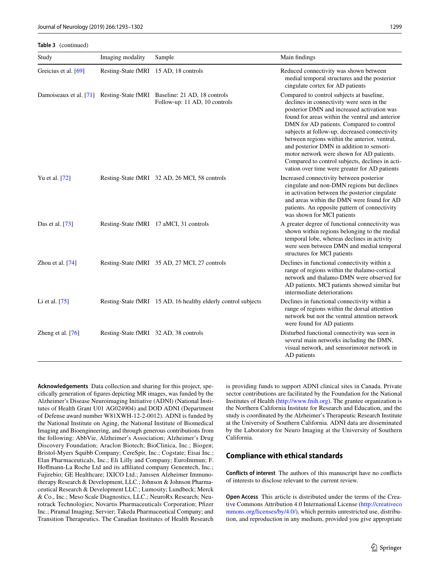**Acknowledgements** Data collection and sharing for this project, specifically generation of figures depicting MR images, was funded by the Alzheimer's Disease Neuroimaging Initiative (ADNI) (National Institutes of Health Grant U01 AG024904) and DOD ADNI (Department of Defense award number W81XWH-12-2-0012). ADNI is funded by the National Institute on Aging, the National Institute of Biomedical Imaging and Bioengineering, and through generous contributions from the following: AbbVie, Alzheimer's Association; Alzheimer's Drug Discovery Foundation; Araclon Biotech; BioClinica, Inc.; Biogen; Bristol-Myers Squibb Company; CereSpir, Inc.; Cogstate; Eisai Inc.; Elan Pharmaceuticals, Inc.; Eli Lilly and Company; EuroImmun; F. Hoffmann-La Roche Ltd and its affiliated company Genentech, Inc.; Fujirebio; GE Healthcare; IXICO Ltd.; Janssen Alzheimer Immunotherapy Research & Development, LLC.; Johnson & Johnson Pharmaceutical Research & Development LLC.; Lumosity; Lundbeck; Merck & Co., Inc.; Meso Scale Diagnostics, LLC.; NeuroRx Research; Neurotrack Technologies; Novartis Pharmaceuticals Corporation; Pfizer Inc.; Piramal Imaging; Servier; Takeda Pharmaceutical Company; and Transition Therapeutics. The Canadian Institutes of Health Research is providing funds to support ADNI clinical sites in Canada. Private sector contributions are facilitated by the Foundation for the National Institutes of Health [\(http://www.fnih.org](http://www.fnih.org)). The grantee organization is the Northern California Institute for Research and Education, and the study is coordinated by the Alzheimer's Therapeutic Research Institute at the University of Southern California. ADNI data are disseminated by the Laboratory for Neuro Imaging at the University of Southern California.

## **Compliance with ethical standards**

**Conflicts of interest** The authors of this manuscript have no conflicts of interests to disclose relevant to the current review.

**Open Access** This article is distributed under the terms of the Creative Commons Attribution 4.0 International License ([http://creativeco](http://creativecommons.org/licenses/by/4.0/) [mmons.org/licenses/by/4.0/](http://creativecommons.org/licenses/by/4.0/)), which permits unrestricted use, distribution, and reproduction in any medium, provided you give appropriate

| Study                | Imaging modality                      | Sample                                                                                                  | Main findings                                                                                                                                                                                                                                                                                                                                                                                                                                                                                                                       |
|----------------------|---------------------------------------|---------------------------------------------------------------------------------------------------------|-------------------------------------------------------------------------------------------------------------------------------------------------------------------------------------------------------------------------------------------------------------------------------------------------------------------------------------------------------------------------------------------------------------------------------------------------------------------------------------------------------------------------------------|
| Greicius et al. [69] | Resting-State fMRI 15 AD, 18 controls |                                                                                                         | Reduced connectivity was shown between<br>medial temporal structures and the posterior<br>cingulate cortex for AD patients                                                                                                                                                                                                                                                                                                                                                                                                          |
|                      |                                       | Damoiseaux et al. [71] Resting-State fMRI Baseline: 21 AD, 18 controls<br>Follow-up: 11 AD, 10 controls | Compared to control subjects at baseline,<br>declines in connectivity were seen in the<br>posterior DMN and increased activation was<br>found for areas within the ventral and anterior<br>DMN for AD patients. Compared to control<br>subjects at follow-up, decreased connectivity<br>between regions within the anterior, ventral,<br>and posterior DMN in addition to sensori-<br>motor network were shown for AD patients.<br>Compared to control subjects, declines in acti-<br>vation over time were greater for AD patients |
| Yu et al. [72]       |                                       | Resting-State fMRI 32 AD, 26 MCI, 58 controls                                                           | Increased connectivity between posterior<br>cingulate and non-DMN regions but declines<br>in activation between the posterior cingulate<br>and areas within the DMN were found for AD<br>patients. An opposite pattern of connectivity<br>was shown for MCI patients                                                                                                                                                                                                                                                                |
| Das et al. [73]      |                                       | Resting-State fMRI 17 aMCI, 31 controls                                                                 | A greater degree of functional connectivity was<br>shown within regions belonging to the medial<br>temporal lobe, whereas declines in activity<br>were seen between DMN and medial temporal<br>structures for MCI patients                                                                                                                                                                                                                                                                                                          |
| Zhou et al. $[74]$   |                                       | Resting-State fMRI 35 AD, 27 MCI, 27 controls                                                           | Declines in functional connectivity within a<br>range of regions within the thalamo-cortical<br>network and thalamo-DMN were observed for<br>AD patients. MCI patients showed similar but<br>intermediate deteriorations                                                                                                                                                                                                                                                                                                            |
| Li et al. $[75]$     |                                       | Resting-State fMRI 15 AD, 16 healthy elderly control subjects                                           | Declines in functional connectivity within a<br>range of regions within the dorsal attention<br>network but not the ventral attention network<br>were found for AD patients                                                                                                                                                                                                                                                                                                                                                         |
| Zheng et al. $[76]$  | Resting-State fMRI 32 AD, 38 controls |                                                                                                         | Disturbed functional connectivity was seen in<br>several main networks including the DMN,<br>visual network, and sensorimotor network in<br>AD patients                                                                                                                                                                                                                                                                                                                                                                             |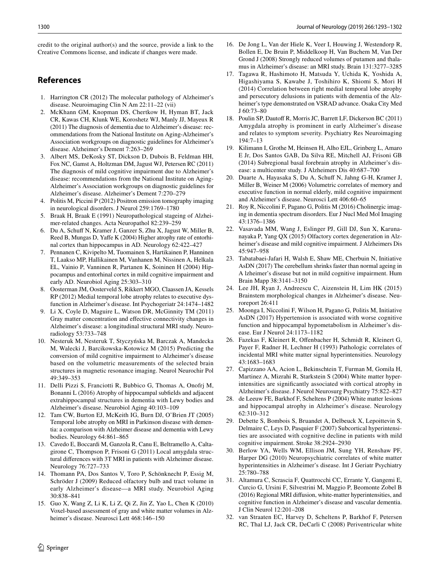credit to the original author(s) and the source, provide a link to the Creative Commons license, and indicate if changes were made.

## **References**

- <span id="page-7-0"></span>1. Harrington CR (2012) The molecular pathology of Alzheimer's disease. Neuroimaging Clin N Am 22:11–22 (vii)
- <span id="page-7-1"></span>2. McKhann GM, Knopman DS, Chertkow H, Hyman BT, Jack CR, Kawas CH, Klunk WE, Koroshetz WJ, Manly JJ, Mayeux R (2011) The diagnosis of dementia due to Alzheimer's disease: recommendations from the National Institute on Aging-Alzheimer's Association workgroups on diagnostic guidelines for Alzheimer's disease. Alzheimer's Dement 7:263–269
- <span id="page-7-2"></span>3. Albert MS, DeKosky ST, Dickson D, Dubois B, Feldman HH, Fox NC, Gamst A, Holtzman DM, Jagust WJ, Petersen RC (2011) The diagnosis of mild cognitive impairment due to Alzheimer's disease: recommendations from the National Institute on Aging-Alzheimer's Association workgroups on diagnostic guidelines for Alzheimer's disease. Alzheimer's Dement 7:270–279
- <span id="page-7-3"></span>4. Politis M, Piccini P (2012) Positron emission tomography imaging in neurological disorders. J Neurol 259:1769–1780
- <span id="page-7-4"></span>5. Braak H, Braak E (1991) Neuropathological stageing of Alzheimer-related changes. Acta Neuropathol 82:239–259
- <span id="page-7-5"></span>6. Du A, Schuff N, Kramer J, Ganzer S, Zhu X, Jagust W, Miller B, Reed B, Mungas D, Yaffe K (2004) Higher atrophy rate of entorhinal cortex than hippocampus in AD. Neurology 62:422–427
- <span id="page-7-6"></span>7. Pennanen C, Kivipelto M, Tuomainen S, Hartikainen P, Hanninen T, Laakso MP, Hallikainen M, Vanhanen M, Nissinen A, Helkala EL, Vainio P, Vanninen R, Partanen K, Soininen H (2004) Hippocampus and entorhinal cortex in mild cognitive impairment and early AD. Neurobiol Aging 25:303–310
- <span id="page-7-7"></span>8. Oosterman JM, Oosterveld S, Rikkert MGO, Claassen JA, Kessels RP (2012) Medial temporal lobe atrophy relates to executive dysfunction in Alzheimer's disease. Int Psychogeriatr 24:1474–1482
- <span id="page-7-8"></span>9. Li X, Coyle D, Maguire L, Watson DR, McGinnity TM (2011) Gray matter concentration and effective connectivity changes in Alzheimer's disease: a longitudinal structural MRI study. Neuroradiology 53:733–748
- <span id="page-7-9"></span>10. Nesteruk M, Nesteruk T, Styczyńska M, Barczak A, Mandecka M, Walecki J, Barcikowska-Kotowicz M (2015) Predicting the conversion of mild cognitive impairment to Alzheimer's disease based on the volumetric measurements of the selected brain structures in magnetic resonance imaging. Neurol Neurochir Pol 49:349–353
- <span id="page-7-10"></span>11. Delli Pizzi S, Franciotti R, Bubbico G, Thomas A, Onofrj M, Bonanni L (2016) Atrophy of hippocampal subfields and adjacent extrahippocampal structures in dementia with Lewy bodies and Alzheimer's disease. Neurobiol Aging 40:103–109
- <span id="page-7-11"></span>12. Tam CW, Burton EJ, McKeith IG, Burn DJ, O'Brien JT (2005) Temporal lobe atrophy on MRI in Parkinson disease with dementia: a comparison with Alzheimer disease and dementia with Lewy bodies. Neurology 64:861–865
- <span id="page-7-12"></span>13. Cavedo E, Boccardi M, Ganzola R, Canu E, Beltramello A, Caltagirone C, Thompson P, Frisoni G (2011) Local amygdala structural differences with 3T MRI in patients with Alzheimer disease. Neurology 76:727–733
- <span id="page-7-13"></span>14. Thomann PA, Dos Santos V, Toro P, Schönknecht P, Essig M, Schröder J (2009) Reduced olfactory bulb and tract volume in early Alzheimer's disease—a MRI study. Neurobiol Aging 30:838–841
- <span id="page-7-14"></span>15. Guo X, Wang Z, Li K, Li Z, Qi Z, Jin Z, Yao L, Chen K (2010) Voxel-based assessment of gray and white matter volumes in Alzheimer's disease. Neurosci Lett 468:146–150
- <span id="page-7-15"></span>16. De Jong L, Van der Hiele K, Veer I, Houwing J, Westendorp R, Bollen E, De Bruin P, Middelkoop H, Van Buchem M, Van Der Grond J (2008) Strongly reduced volumes of putamen and thalamus in Alzheimer's disease: an MRI study. Brain 131:3277–3285
- <span id="page-7-22"></span>17. Tagawa R, Hashimoto H, Matsuda Y, Uchida K, Yoshida A, Higashiyama S, Kawabe J, Toshihiro K, Shiomi S, Mori H (2014) Correlation between right medial temporal lobe atrophy and persecutory delusions in patients with dementia of the Alzheimer's type demonstrated on VSRAD advance. Osaka City Med J 60:73–80
- <span id="page-7-23"></span>18. Poulin SP, Dautoff R, Morris JC, Barrett LF, Dickerson BC (2011) Amygdala atrophy is prominent in early Alzheimer's disease and relates to symptom severity. Psychiatry Res Neuroimaging 194:7–13
- <span id="page-7-16"></span>19. Kilimann I, Grothe M, Heinsen H, Alho EJL, Grinberg L, Amaro E Jr, Dos Santos GAB, Da Silva RE, Mitchell AJ, Frisoni GB (2014) Subregional basal forebrain atrophy in Alzheimer's disease: a multicenter study. J Alzheimers Dis 40:687–700
- <span id="page-7-17"></span>20. Duarte A, Hayasaka S, Du A, Schuff N, Jahng G-H, Kramer J, Miller B, Weiner M (2006) Volumetric correlates of memory and executive function in normal elderly, mild cognitive impairment and Alzheimer's disease. Neurosci Lett 406:60–65
- <span id="page-7-24"></span>21. Roy R, Niccolini F, Pagano G, Politis M (2016) Cholinergic imaging in dementia spectrum disorders. Eur J Nucl Med Mol Imaging 43:1376–1386
- <span id="page-7-18"></span>22. Vasavada MM, Wang J, Eslinger PJ, Gill DJ, Sun X, Karunanayaka P, Yang QX (2015) Olfactory cortex degeneration in Alzheimer's disease and mild cognitive impairment. J Alzheimers Dis 45:947–958
- <span id="page-7-19"></span>23. Tabatabaei-Jafari H, Walsh E, Shaw ME, Cherbuin N, Initiative AsDN (2017) The cerebellum shrinks faster than normal ageing in A lzheimer's disease but not in mild cognitive impairment. Hum Brain Mapp 38:3141–3150
- <span id="page-7-20"></span>24. Lee JH, Ryan J, Andreescu C, Aizenstein H, Lim HK (2015) Brainstem morphological changes in Alzheimer's disease. Neuroreport 26:411
- <span id="page-7-25"></span>25. Moonga I, Niccolini F, Wilson H, Pagano G, Politis M, Initiative AsDN (2017) Hypertension is associated with worse cognitive function and hippocampal hypometabolism in Alzheimer's disease. Eur J Neurol 24:1173–1182
- <span id="page-7-26"></span>26. Fazekas F, Kleinert R, Offenbacher H, Schmidt R, Kleinert G, Payer F, Radner H, Lechner H (1993) Pathologic correlates of incidental MRI white matter signal hyperintensities. Neurology 43:1683–1683
- <span id="page-7-21"></span>27. Capizzano AA, Acion L, Bekinschtein T, Furman M, Gomila H, Martinez A, Mizrahi R, Starkstein S (2004) White matter hyperintensities are significantly associated with cortical atrophy in Alzheimer's disease. J Neurol Neurosurg Psychiatry 75:822–827
- <span id="page-7-27"></span>28. de Leeuw FE, Barkhof F, Scheltens P (2004) White matter lesions and hippocampal atrophy in Alzheimer's disease. Neurology 62:310–312
- <span id="page-7-28"></span>29. Debette S, Bombois S, Bruandet A, Delbeuck X, Lepoittevin S, Delmaire C, Leys D, Pasquier F (2007) Subcortical hyperintensities are associated with cognitive decline in patients with mild cognitive impairment. Stroke 38:2924–2930
- <span id="page-7-29"></span>30. Berlow YA, Wells WM, Ellison JM, Sung YH, Renshaw PF, Harper DG (2010) Neuropsychiatric correlates of white matter hyperintensities in Alzheimer's disease. Int J Geriatr Psychiatry 25:780–788
- <span id="page-7-30"></span>31. Altamura C, Scrascia F, Quattrocchi CC, Errante Y, Gangemi E, Curcio G, Ursini F, Silvestrini M, Maggio P, Beomonte Zobel B (2016) Regional MRI diffusion, white-matter hyperintensities, and cognitive function in Alzheimer's disease and vascular dementia. J Clin Neurol 12:201–208
- <span id="page-7-31"></span>32. van Straaten EC, Harvey D, Scheltens P, Barkhof F, Petersen RC, Thal LJ, Jack CR, DeCarli C (2008) Periventricular white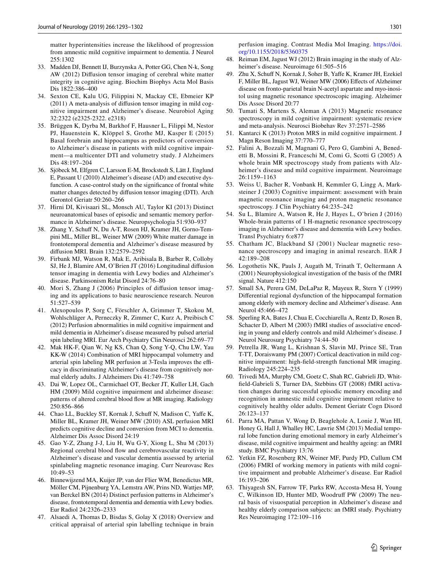matter hyperintensities increase the likelihood of progression from amnestic mild cognitive impairment to dementia. J Neurol 255:1302

- <span id="page-8-0"></span>33. Madden DJ, Bennett IJ, Burzynska A, Potter GG, Chen N-k, Song AW (2012) Diffusion tensor imaging of cerebral white matter integrity in cognitive aging. Biochim Biophys Acta Mol Basis Dis 1822:386–400
- <span id="page-8-1"></span>34. Sexton CE, Kalu UG, Filippini N, Mackay CE, Ebmeier KP (2011) A meta-analysis of diffusion tensor imaging in mild cognitive impairment and Alzheimer's disease. Neurobiol Aging 32:2322 (e2325-2322. e2318)
- <span id="page-8-2"></span>35. Brüggen K, Dyrba M, Barkhof F, Hausner L, Filippi M, Nestor PJ, Hauenstein K, Klöppel S, Grothe MJ, Kasper E (2015) Basal forebrain and hippocampus as predictors of conversion to Alzheimer's disease in patients with mild cognitive impairment—a multicenter DTI and volumetry study. J Alzheimers Dis 48:197–204
- <span id="page-8-3"></span>36. Sjöbeck M, Elfgren C, Larsson E-M, Brockstedt S, Lätt J, Englund E, Passant U (2010) Alzheimer's disease (AD) and executive dysfunction. A case-control study on the significance of frontal white matter changes detected by diffusion tensor imaging (DTI). Arch Gerontol Geriatr 50:260–266
- <span id="page-8-4"></span>37. Hirni DI, Kivisaari SL, Monsch AU, Taylor KI (2013) Distinct neuroanatomical bases of episodic and semantic memory performance in Alzheimer's disease. Neuropsychologia 51:930–937
- <span id="page-8-5"></span>38. Zhang Y, Schuff N, Du A-T, Rosen HJ, Kramer JH, Gorno-Tempini ML, Miller BL, Weiner MW (2009) White matter damage in frontotemporal dementia and Alzheimer's disease measured by diffusion MRI. Brain 132:2579–2592
- <span id="page-8-6"></span>39. Firbank MJ, Watson R, Mak E, Aribisala B, Barber R, Colloby SJ, He J, Blamire AM, O'Brien JT (2016) Longitudinal diffusion tensor imaging in dementia with Lewy bodies and Alzheimer's disease. Parkinsonism Relat Disord 24:76–80
- <span id="page-8-7"></span>40. Mori S, Zhang J (2006) Principles of diffusion tensor imaging and its applications to basic neuroscience research. Neuron 51:527–539
- <span id="page-8-8"></span>41. Alexopoulos P, Sorg C, Förschler A, Grimmer T, Skokou M, Wohlschläger A, Perneczky R, Zimmer C, Kurz A, Preibisch C (2012) Perfusion abnormalities in mild cognitive impairment and mild dementia in Alzheimer's disease measured by pulsed arterial spin labeling MRI. Eur Arch Psychiatry Clin Neurosci 262:69–77
- <span id="page-8-13"></span>42. Mak HK-F, Qian W, Ng KS, Chan Q, Song Y-Q, Chu LW, Yau KK-W (2014) Combination of MRI hippocampal volumetry and arterial spin labeling MR perfusion at 3-Tesla improves the efficacy in discriminating Alzheimer's disease from cognitively normal elderly adults. J Alzheimers Dis 41:749–758
- <span id="page-8-9"></span>43. Dai W, Lopez OL, Carmichael OT, Becker JT, Kuller LH, Gach HM (2009) Mild cognitive impairment and alzheimer disease: patterns of altered cerebral blood flow at MR imaging. Radiology 250:856–866
- <span id="page-8-10"></span>44. Chao LL, Buckley ST, Kornak J, Schuff N, Madison C, Yaffe K, Miller BL, Kramer JH, Weiner MW (2010) ASL perfusion MRI predicts cognitive decline and conversion from MCI to dementia. Alzheimer Dis Assoc Disord 24:19
- <span id="page-8-11"></span>45. Gao Y-Z, Zhang J-J, Liu H, Wu G-Y, Xiong L, Shu M (2013) Regional cerebral blood flow and cerebrovascular reactivity in Alzheimer's disease and vascular dementia assessed by arterial spinlabeling magnetic resonance imaging. Curr Neurovasc Res 10:49–53
- <span id="page-8-12"></span>46. Binnewijzend MA, Kuijer JP, van der Flier WM, Benedictus MR, Möller CM, Pijnenburg YA, Lemstra AW, Prins ND, Wattjes MP, van Berckel BN (2014) Distinct perfusion patterns in Alzheimer's disease, frontotemporal dementia and dementia with Lewy bodies. Eur Radiol 24:2326–2333
- <span id="page-8-16"></span>47. Alsaedi A, Thomas D, Bisdas S, Golay X (2018) Overview and critical appraisal of arterial spin labelling technique in brain

perfusion imaging. Contrast Media Mol Imaging. [https://doi.](https://doi.org/10.1155/2018/5360375) [org/10.1155/2018/5360375](https://doi.org/10.1155/2018/5360375)

- <span id="page-8-17"></span>48. Reiman EM, Jagust WJ (2012) Brain imaging in the study of Alzheimer's disease. Neuroimage 61:505–516
- <span id="page-8-14"></span>49. Zhu X, Schuff N, Kornak J, Soher B, Yaffe K, Kramer JH, Ezekiel F, Miller BL, Jagust WJ, Weiner MW (2006) Effects of Alzheimer disease on fronto-parietal brain N-acetyl aspartate and myo-inositol using magnetic resonance spectroscopic imaging. Alzheimer Dis Assoc Disord 20:77
- <span id="page-8-15"></span>50. Tumati S, Martens S, Aleman A (2013) Magnetic resonance spectroscopy in mild cognitive impairment: systematic review and meta-analysis. Neurosci Biobehav Rev 37:2571–2586
- <span id="page-8-18"></span>51. Kantarci K (2013) Proton MRS in mild cognitive impairment. J Magn Reson Imaging 37:770–777
- <span id="page-8-19"></span>52. Falini A, Bozzali M, Magnani G, Pero G, Gambini A, Benedetti B, Mossini R, Franceschi M, Comi G, Scotti G (2005) A whole brain MR spectroscopy study from patients with Alzheimer's disease and mild cognitive impairment. Neuroimage 26:1159–1163
- <span id="page-8-20"></span>53. Weiss U, Bacher R, Vonbank H, Kemmler G, Lingg A, Marksteiner J (2003) Cognitive impairment: assessment with brain magnetic resonance imaging and proton magnetic resonance spectroscopy. J Clin Psychiatry 64:235–242
- <span id="page-8-21"></span>54. Su L, Blamire A, Watson R, He J, Hayes L, O'brien J (2016) Whole-brain patterns of 1 H-magnetic resonance spectroscopy imaging in Alzheimer's disease and dementia with Lewy bodies. Transl Psychiatry 6:e877
- <span id="page-8-22"></span>55. Chatham JC, Blackband SJ (2001) Nuclear magnetic resonance spectroscopy and imaging in animal research. IlAR J 42:189–208
- <span id="page-8-23"></span>56. Logothetis NK, Pauls J, Augath M, Trinath T, Oeltermann A (2001) Neurophysiological investigation of the basis of the fMRI signal. Nature 412:150
- <span id="page-8-24"></span>57. Small SA, Perera GM, DeLaPaz R, Mayeux R, Stern Y (1999) Differential regional dysfunction of the hippocampal formation among elderly with memory decline and Alzheimer's disease. Ann Neurol 45:466–472
- <span id="page-8-25"></span>58. Sperling RA, Bates J, Chua E, Cocchiarella A, Rentz D, Rosen B, Schacter D, Albert M (2003) fMRI studies of associative encoding in young and elderly controls and mild Alzheimer's disease. J Neurol Neurosurg Psychiatry 74:44–50
- <span id="page-8-26"></span>59. Petrella JR, Wang L, Krishnan S, Slavin MJ, Prince SE, Tran T-TT, Doraiswamy PM (2007) Cortical deactivation in mild cognitive impairment: high-field-strength functional MR imaging. Radiology 245:224–235
- <span id="page-8-27"></span>60. Trivedi MA, Murphy CM, Goetz C, Shah RC, Gabrieli JD, Whitfield-Gabrieli S, Turner DA, Stebbins GT (2008) fMRI activation changes during successful episodic memory encoding and recognition in amnestic mild cognitive impairment relative to cognitively healthy older adults. Dement Geriatr Cogn Disord 26:123–137
- <span id="page-8-28"></span>61. Parra MA, Pattan V, Wong D, Beaglehole A, Lonie J, Wan HI, Honey G, Hall J, Whalley HC, Lawrie SM (2013) Medial temporal lobe function during emotional memory in early Alzheimer's disease, mild cognitive impairment and healthy ageing: an fMRI study. BMC Psychiatry 13:76
- <span id="page-8-29"></span>62. Yetkin FZ, Rosenberg RN, Weiner MF, Purdy PD, Cullum CM (2006) FMRI of working memory in patients with mild cognitive impairment and probable Alzheimer's disease. Eur Radiol 16:193–206
- <span id="page-8-30"></span>63. Thiyagesh SN, Farrow TF, Parks RW, Accosta-Mesa H, Young C, Wilkinson ID, Hunter MD, Woodruff PW (2009) The neural basis of visuospatial perception in Alzheimer's disease and healthy elderly comparison subjects: an fMRI study. Psychiatry Res Neuroimaging 172:109–116